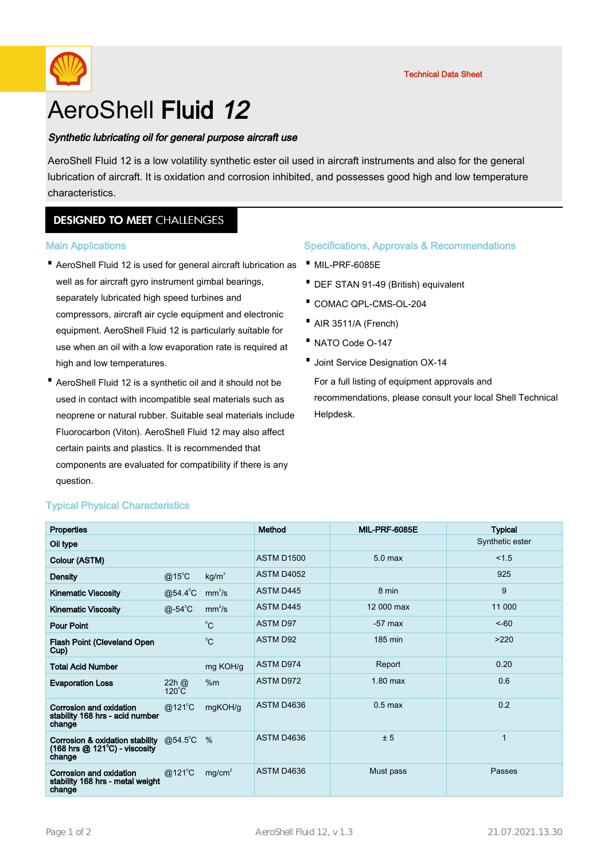

# AeroShell Fluid 12

## Synthetic lubricating oil for general purpose aircraft use

AeroShell Fluid 12 is a low volatility synthetic ester oil used in aircraft instruments and also for the general lubrication of aircraft. It is oxidation and corrosion inhibited, and possesses good high and low temperature characteristics.

# **DESIGNED TO MEET CHALLENGES**

#### Main Applications

- AeroShell Fluid 12 is used for general aircraft lubrication as · · MIL-PRF-6085E well as for aircraft gyro instrument gimbal bearings, separately lubricated high speed turbines and compressors, aircraft air cycle equipment and electronic equipment. AeroShell Fluid 12 is particularly suitable for use when an oil with a low evaporation rate is required at high and low temperatures.
- AeroShell Fluid 12 is a synthetic oil and it should not be used in contact with incompatible seal materials such as neoprene or natural rubber. Suitable seal materials include Fluorocarbon (Viton). AeroShell Fluid 12 may also affect certain paints and plastics. It is recommended that components are evaluated for compatibility if there is any question.

#### Specifications, Approvals & Recommendations

- 
- · DEF STAN 91-49 (British) equivalent
- · COMAC QPL-CMS-OL-204
- · AIR 3511/A (French)
- · NATO Code O-147
- · Joint Service Designation OX-14

For a full listing of equipment approvals and recommendations, please consult your local Shell Technical Helpdesk.

| Properties                                                                                                       |                              |                    | Method            | MIL-PRF-6085E      | <b>Typical</b>  |
|------------------------------------------------------------------------------------------------------------------|------------------------------|--------------------|-------------------|--------------------|-----------------|
| Oil type                                                                                                         |                              |                    |                   |                    | Synthetic ester |
| Colour (ASTM)                                                                                                    |                              |                    | <b>ASTM D1500</b> | 5.0 <sub>max</sub> | 1.5             |
| <b>Density</b>                                                                                                   | $@15^{\circ}$ C              | kg/m <sup>3</sup>  | <b>ASTM D4052</b> |                    | 925             |
| <b>Kinematic Viscosity</b>                                                                                       | $@54.4^{\circ}C$             | mm <sup>2</sup> /s | <b>ASTM D445</b>  | 8 min              | 9               |
| <b>Kinematic Viscosity</b>                                                                                       | $@$ -54 $^{\circ}$ C         | mm <sup>2</sup> /s | <b>ASTM D445</b>  | 12 000 max         | 11 000          |
| <b>Pour Point</b>                                                                                                |                              | $^{\circ}C$        | <b>ASTM D97</b>   | $-57$ max          | $5 - 60$        |
| <b>Flash Point (Cleveland Open</b><br>Cup)                                                                       |                              | $^0C$              | <b>ASTM D92</b>   | 185 min            | >220            |
| <b>Total Acid Number</b>                                                                                         |                              | mg KOH/g           | <b>ASTM D974</b>  | Report             | 0.20            |
| <b>Evaporation Loss</b>                                                                                          | $22h$ $@$<br>$120^{\circ}$ C | %m                 | <b>ASTM D972</b>  | $1.80$ max         | 0.6             |
| Corrosion and oxidation<br>stability 168 hrs - acid number<br>change                                             | $@121^{\circ}$ C             | mgKOH/g            | ASTM D4636        | $0.5$ max          | 0.2             |
| Corrosion & oxidation stability<br>$(168 \text{ hrs} \textcircled{2} 121^{\circ}\text{C})$ - viscosity<br>change | @54.5 $^{\circ}$ C           | $\%$               | ASTM D4636        | ± 5                | $\mathbf{1}$    |
| Corrosion and oxidation<br>stability 168 hrs - metal weight<br>change                                            | @121°C                       | mg/cm <sup>2</sup> | ASTM D4636        | Must pass          | Passes          |

## Typical Physical Characteristics